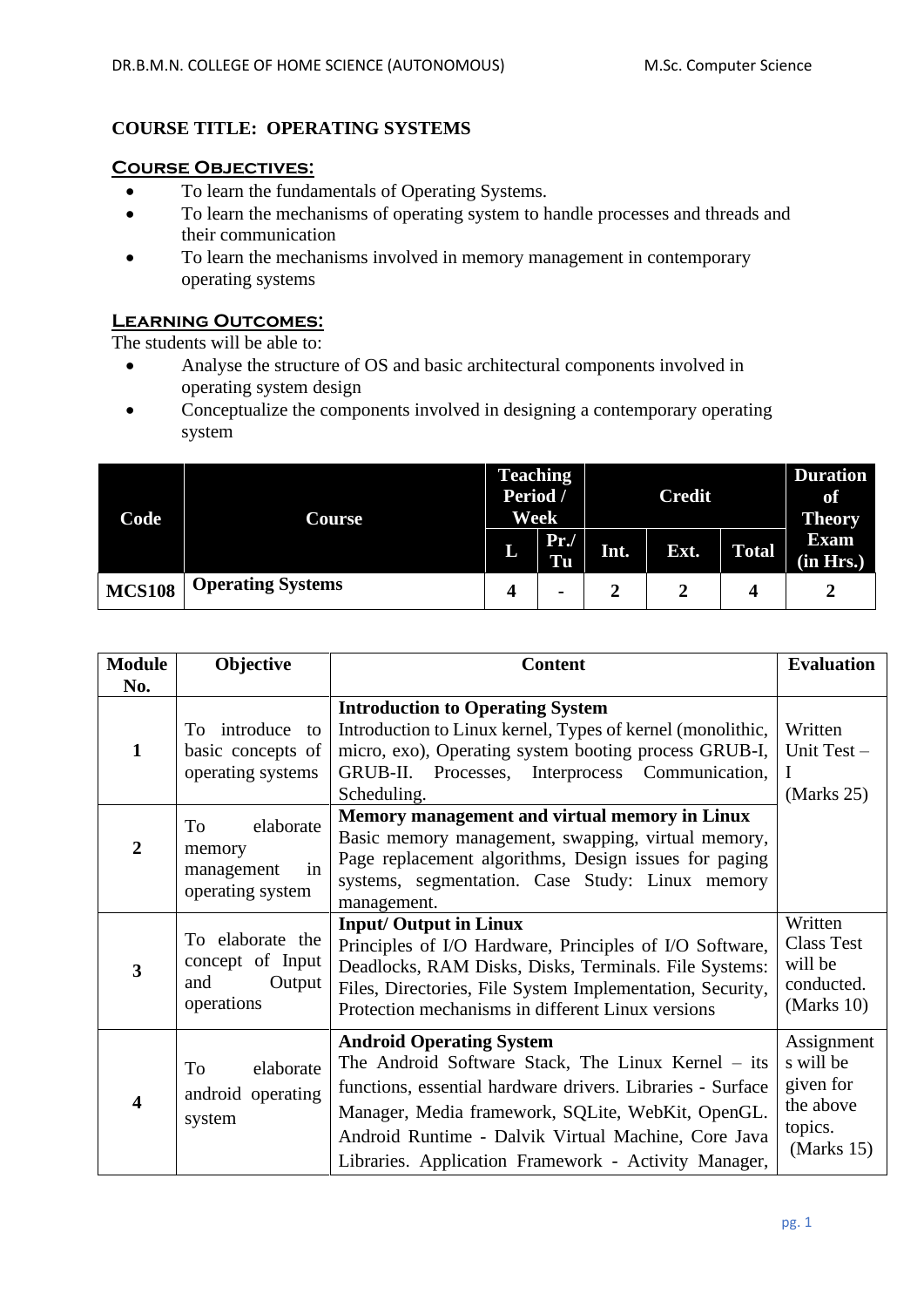# **COURSE TITLE: OPERATING SYSTEMS**

#### **Course Objectives:**

- To learn the fundamentals of Operating Systems.
- To learn the mechanisms of operating system to handle processes and threads and their communication
- To learn the mechanisms involved in memory management in contemporary operating systems

## **Learning Outcomes:**

The students will be able to:

- Analyse the structure of OS and basic architectural components involved in operating system design
- Conceptualize the components involved in designing a contemporary operating system

| Code          | Course                   | <b>Teaching</b><br>Period /<br><b>Week</b> |                | <b>Credit</b> |      |              | <b>Duration</b><br><b>of</b><br><b>Theory</b> |
|---------------|--------------------------|--------------------------------------------|----------------|---------------|------|--------------|-----------------------------------------------|
|               |                          | L                                          | Pr.<br>Tu      | Int.          | Ext. | <b>Total</b> | <b>Exam</b><br>(in Hrs.)                      |
| <b>MCS108</b> | <b>Operating Systems</b> | 4                                          | $\blacksquare$ | 2             |      |              |                                               |

| <b>Module</b>  | Objective         | <b>Content</b>                                             | <b>Evaluation</b> |
|----------------|-------------------|------------------------------------------------------------|-------------------|
| No.            |                   |                                                            |                   |
|                |                   | <b>Introduction to Operating System</b>                    |                   |
|                | To introduce to   | Introduction to Linux kernel, Types of kernel (monolithic, | Written           |
| $\mathbf{1}$   | basic concepts of | micro, exo), Operating system booting process GRUB-I,      | Unit Test-        |
|                | operating systems | GRUB-II. Processes, Interprocess Communication,            |                   |
|                |                   | Scheduling.                                                | (Marks $25$ )     |
|                | elaborate<br>To   | Memory management and virtual memory in Linux              |                   |
| $\overline{2}$ |                   | Basic memory management, swapping, virtual memory,         |                   |
|                | memory<br>in      | Page replacement algorithms, Design issues for paging      |                   |
|                | management        | systems, segmentation. Case Study: Linux memory            |                   |
|                | operating system  | management.                                                |                   |
|                |                   | <b>Input/ Output in Linux</b>                              | Written           |
|                | To elaborate the  | Principles of I/O Hardware, Principles of I/O Software,    | <b>Class Test</b> |
| 3              | concept of Input  | Deadlocks, RAM Disks, Disks, Terminals. File Systems:      | will be           |
|                | Output<br>and     | Files, Directories, File System Implementation, Security,  | conducted.        |
|                | operations        | Protection mechanisms in different Linux versions          | (Marks $10$ )     |
|                |                   | <b>Android Operating System</b>                            | Assignment        |
|                | To<br>elaborate   | The Android Software Stack, The Linux Kernel – its         | s will be         |
|                |                   | functions, essential hardware drivers. Libraries - Surface | given for         |
|                | android operating | Manager, Media framework, SQLite, WebKit, OpenGL.          | the above         |
|                | system            |                                                            | topics.           |
|                |                   | Android Runtime - Dalvik Virtual Machine, Core Java        | (Marks $15$ )     |
|                |                   | Libraries. Application Framework - Activity Manager,       |                   |